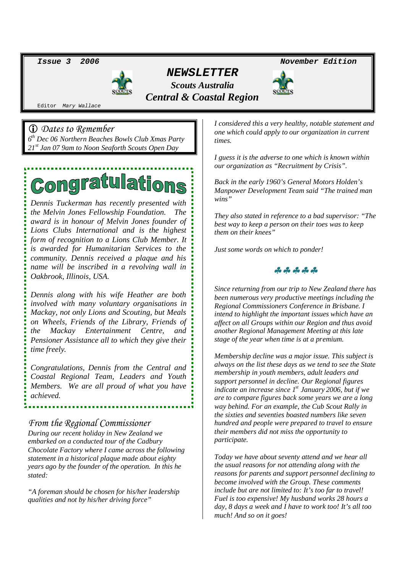

*NEWSLETTER Scouts Australia Central & Coastal Region*

*Issue 3 2006 November Edition*



Editor *Mary Wallace*

 *Dates to Remember 6 th Dec 06 Northern Beaches Bowls Club Xmas Party 21st Jan 07 9am to Noon Seaforth Scouts Open Day*

# **Congratulations**

*Dennis Tuckerman has recently presented with the Melvin Jones Fellowship Foundation. The award is in honour of Melvin Jones founder of Lions Clubs International and is the highest form of recognition to a Lions Club Member. It is awarded for Humanitarian Services to the community. Dennis received a plaque and his name will be inscribed in a revolving wall in Oakbrook, Illinois, USA.*

*Dennis along with his wife Heather are both involved with many voluntary organisations in Mackay, not only Lions and Scouting, but Meals on Wheels, Friends of the Library, Friends of the Mackay Entertainment Centre, and Pensioner Assistance all to which they give their time freely.*

*Congratulations, Dennis from the Central and Coastal Regional Team, Leaders and Youth Members. We are all proud of what you have achieved.*

## *From the Regional Commissioner*

*During our recent holiday in New Zealand we embarked on a conducted tour of the Cadbury Chocolate Factory where I came across the following statement in a historical plaque made about eighty years ago by the founder of the operation. In this he stated:*

*"A foreman should be chosen for his/her leadership qualities and not by his/her driving force"*

*I considered this a very healthy, notable statement and one which could apply to our organization in current times.*

*I guess it is the adverse to one which is known within our organization as "Recruitment by Crisis".*

*Back in the early 1960's General Motors Holden's Manpower Development Team said "The trained man wins"*

*They also stated in reference to a bad supervisor: "The best way to keep a person on their toes was to keep them on their knees"*

*Just some words on which to ponder!*



*Since returning from our trip to New Zealand there has been numerous very productive meetings including the Regional Commissioners Conference in Brisbane. I intend to highlight the important issues which have an affect on all Groups within our Region and thus avoid another Regional Management Meeting at this late stage of the year when time is at a premium.*

*Membership decline was a major issue. This subject is always on the list these days as we tend to see the State membership in youth members, adult leaders and support personnel in decline. Our Regional figures indicate an increase since 1st January 2006, but if we are to compare figures back some years we are a long way behind. For an example, the Cub Scout Rally in the sixties and seventies boasted numbers like seven hundred and people were prepared to travel to ensure their members did not miss the opportunity to participate.*

*Today we have about seventy attend and we hear all the usual reasons for not attending along with the reasons for parents and support personnel declining to become involved with the Group. These comments include but are not limited to: It's too far to travel! Fuel is too expensive! My husband works 28 hours a day, 8 days a week and I have to work too! It's all too much! And so on it goes!*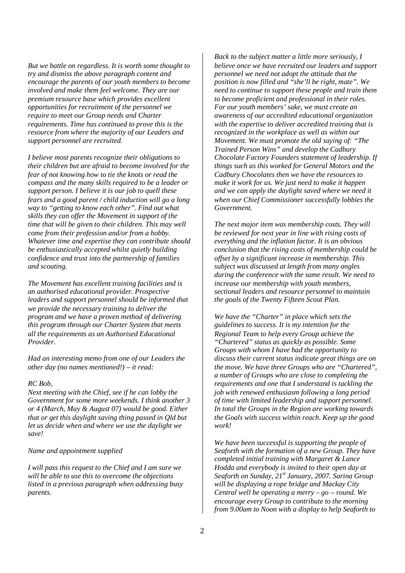*But we battle on regardless. It is worth some thought to try and dismiss the above paragraph content and encourage the parents of our youth members to become involved and make them feel welcome. They are our premium resource base which provides excellent opportunities for recruitment of the personnel we require to meet our Group needs and Charter requirements. Time has continued to prove this is the resource from where the majority of our Leaders and support personnel are recruited.*

*I believe most parents recognize their obligations to their children but are afraid to become involved for the fear of not knowing how to tie the knots or read the compass and the many skills required to be a leader or support person. I believe it is our job to quell these fears and a good parent / child induction will go a long way to "getting to know each other". Find out what skills they can offer the Movement in support of the time that will be given to their children. This may well come from their profession and/or from a hobby. Whatever time and expertise they can contribute should be enthusiastically accepted whilst quietly building confidence and trust into the partnership of families and scouting.*

*The Movement has excellent training facilities and is an authorised educational provider. Prospective leaders and support personnel should be informed that we provide the necessary training to deliver the program and we have a proven method of delivering this program through our Charter System that meets all the requirements as an Authorised Educational Provider.*

*Had an interesting memo from one of our Leaders the other day (no names mentioned!) – it read:*

#### *RC Bob,*

*Next meeting with the Chief, see if he can lobby the Government for some more weekends. I think another 3 or 4 (March, May & August 07) would be good. Either that or get this daylight saving thing passed in Qld but let us decide when and where we use the daylight we save!*

#### *Name and appointment supplied*

*I will pass this request to the Chief and I am sure we will be able to use this to overcome the objections listed in a previous paragraph when addressing busy parents.*

*Back to the subject matter a little more seriously, I believe once we have recruited our leaders and support personnel we need not adopt the attitude that the position is now filled and "she'll be right, mate". We need to continue to support these people and train them to become proficient and professional in their roles. For our youth members' sake, we must create an awareness of our accredited educational organization with the expertise to deliver accredited training that is recognized in the workplace as well as within our Movement. We must promote the old saying of: "The Trained Person Wins" and develop the Cadbury Chocolate Factory Founders statement of leadership. If things such as this worked for General Motors and the Cadbury Chocolates then we have the resources to make it work for us. We just need to make it happen and we can apply the daylight saved where we need it when our Chief Commissioner successfully lobbies the Government.*

*The next major item was membership costs. They will be reviewed for next year in line with rising costs of everything and the inflation factor. It is an obvious conclusion that the rising costs of membership could be offset by a significant increase in membership. This subject was discussed at length from many angles during the conference with the same result. We need to increase our membership with youth members, sectional leaders and resource personnel to maintain the goals of the Twenty Fifteen Scout Plan.*

*We have the "Charter" in place which sets the guidelines to success. It is my intention for the Regional Team to help every Group achieve the "Chartered" status as quickly as possible. Some Groups with whom I have had the opportunity to discuss their current status indicate great things are on the move. We have three Groups who are "Chartered", a number of Groups who are close to completing the requirements and one that I understand is tackling the job with renewed enthusiasm following a long period of time with limited leadership and support personnel. In total the Groups in the Region are working towards the Goals with success within reach. Keep up the good work!*

*We have been successful is supporting the people of Seaforth with the formation of a new Group. They have completed initial training with Margaret & Lance Hodda and everybody is invited to their open day at Seaforth on Sunday, 21st January, 2007. Sarina Group will be displaying a rope bridge and Mackay City Central well be operating a merry – go – round. We encourage every Group to contribute to the morning from 9.00am to Noon with a display to help Seaforth to*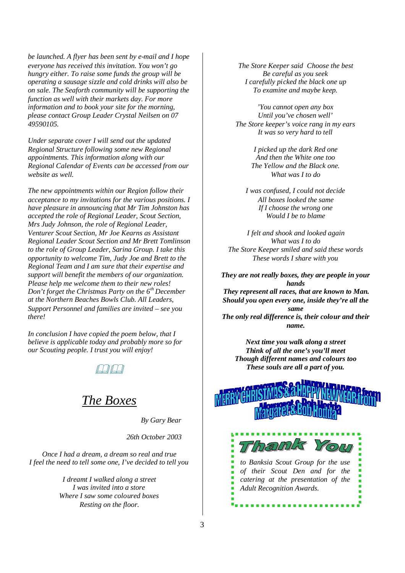*be launched. A flyer has been sent by e-mail and I hope everyone has received this invitation. You won't go hungry either. To raise some funds the group will be operating a sausage sizzle and cold drinks will also be on sale. The Seaforth community will be supporting the function as well with their markets day. For more information and to book your site for the morning, please contact Group Leader Crystal Neilsen on 07 49590105.*

*Under separate cover I will send out the updated Regional Structure following some new Regional appointments. This information along with our Regional Calendar of Events can be accessed from our website as well.*

*The new appointments within our Region follow their acceptance to my invitations for the various positions. I have pleasure in announcing that Mr Tim Johnston has accepted the role of Regional Leader, Scout Section, Mrs Judy Johnson, the role of Regional Leader, Venturer Scout Section, Mr Joe Kearns as Assistant Regional Leader Scout Section and Mr Brett Tomlinson to the role of Group Leader, Sarina Group. I take this opportunity to welcome Tim, Judy Joe and Brett to the Regional Team and I am sure that their expertise and support will benefit the members of our organization. Please help me welcome them to their new roles! Don't forget the Christmas Party on the 6th December at the Northern Beaches Bowls Club. All Leaders, Support Personnel and families are invited – see you there!*

*In conclusion I have copied the poem below, that I believe is applicable today and probably more so for our Scouting people. I trust you will enjoy!*



# *The Boxes*

*By Gary Bear*

*26th October 2003*

*Once I had a dream, a dream so real and true I feel the need to tell some one, I've decided to tell you*

> *I dreamt I walked along a street I was invited into a store Where I saw some coloured boxes Resting on the floor.*

*The Store Keeper said Choose the best Be careful as you seek I carefully picked the black one up To examine and maybe keep.*

*'You cannot open any box Until you've chosen well' The Store keeper's voice rang in my ears It was so very hard to tell*

> *I picked up the dark Red one And then the White one too The Yellow and the Black one. What was I to do*

*I was confused, I could not decide All boxes looked the same If I choose the wrong one Would I be to blame*

*I felt and shook and looked again What was I to do The Store Keeper smiled and said these words These words I share with you*

*They are not really boxes, they are people in your hands They represent all races, that are known to Man. Should you open every one, inside they're all the same The only real difference is, their colour and their*

*name.*

*Next time you walk along a street Think of all the one's you'll meet Though different names and colours too These souls are all a part of you.*



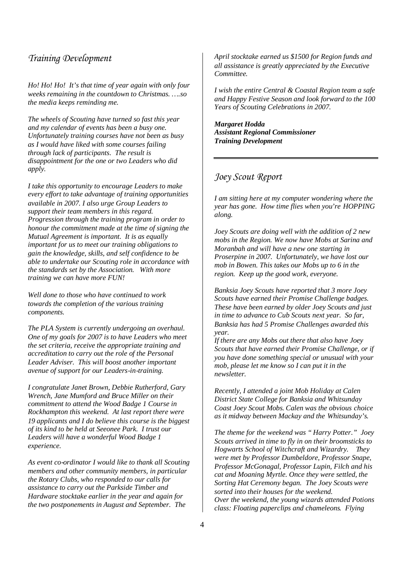# *Training Development*

*Ho! Ho! Ho! It's that time of year again with only four weeks remaining in the countdown to Christmas. ….so the media keeps reminding me.*

*The wheels of Scouting have turned so fast this year and my calendar of events has been a busy one. Unfortunately training courses have not been as busy as I would have liked with some courses failing through lack of participants. The result is disappointment for the one or two Leaders who did apply.*

*I take this opportunity to encourage Leaders to make every effort to take advantage of training opportunities available in 2007. I also urge Group Leaders to support their team members in this regard. Progression through the training program in order to honour the commitment made at the time of signing the Mutual Agreement is important. It is as equally important for us to meet our training obligations to gain the knowledge, skills, and self confidence to be able to undertake our Scouting role in accordance with the standards set by the Association. With more training we can have more FUN!*

*Well done to those who have continued to work towards the completion of the various training components.*

*The PLA System is currently undergoing an overhaul. One of my goals for 2007 is to have Leaders who meet the set criteria, receive the appropriate training and accreditation to carry out the role of the Personal Leader Adviser. This will boost another important avenue of support for our Leaders-in-training.*

*I congratulate Janet Brown, Debbie Rutherford, Gary Wrench, Jane Mumford and Bruce Miller on their commitment to attend the Wood Badge 1 Course in Rockhampton this weekend. At last report there were 19 applicants and I do believe this course is the biggest of its kind to be held at Seeonee Park. I trust our Leaders will have a wonderful Wood Badge 1 experience.*

*As event co-ordinator I would like to thank all Scouting members and other community members, in particular the Rotary Clubs, who responded to our calls for assistance to carry out the Parkside Timber and Hardware stocktake earlier in the year and again for the two postponements in August and September. The*

*April stocktake earned us \$1500 for Region funds and all assistance is greatly appreciated by the Executive Committee.*

*I wish the entire Central & Coastal Region team a safe and Happy Festive Season and look forward to the 100 Years of Scouting Celebrations in 2007.*

*Margaret Hodda Assistant Regional Commissioner Training Development*

## *Joey Scout Report*

*I am sitting here at my computer wondering where the year has gone. How time flies when you're HOPPING along.*

*Joey Scouts are doing well with the addition of 2 new mobs in the Region. We now have Mobs at Sarina and Moranbah and will have a new one starting in Proserpine in 2007. Unfortunately, we have lost our mob in Bowen. This takes our Mobs up to 6 in the region. Keep up the good work, everyone.*

*Banksia Joey Scouts have reported that 3 more Joey Scouts have earned their Promise Challenge badges. These have been earned by older Joey Scouts and just in time to advance to Cub Scouts next year. So far, Banksia has had 5 Promise Challenges awarded this year.*

*If there are any Mobs out there that also have Joey Scouts that have earned their Promise Challenge, or if you have done something special or unusual with your mob, please let me know so I can put it in the newsletter.*

*Recently, I attended a joint Mob Holiday at Calen District State College for Banksia and Whitsunday Coast Joey Scout Mobs. Calen was the obvious choice as it midway between Mackay and the Whitsunday's.*

*The theme for the weekend was " Harry Potter." Joey Scouts arrived in time to fly in on their broomsticks to Hogwarts School of Witchcraft and Wizardry. They were met by Professor Dumbeldore, Professor Snape, Professor McGonagal, Professor Lupin, Filch and his cat and Moaning Myrtle. Once they were settled, the Sorting Hat Ceremony began. The Joey Scouts were sorted into their houses for the weekend. Over the weekend, the young wizards attended Potions class: Floating paperclips and chameleons. Flying*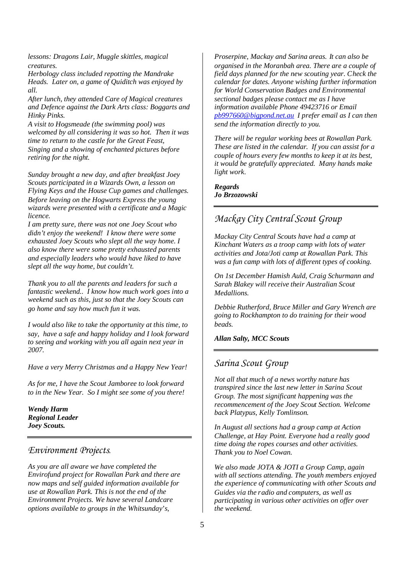*lessons: Dragons Lair, Muggle skittles, magical creatures.*

*Herbology class included repotting the Mandrake Heads. Later on, a game of Quiditch was enjoyed by all.*

*After lunch, they attended Care of Magical creatures and Defence against the Dark Arts class: Boggarts and Hinky Pinks.*

*A visit to Hogsmeade (the swimming pool) was welcomed by all considering it was so hot. Then it was time to return to the castle for the Great Feast, Singing and a showing of enchanted pictures before retiring for the night.*

*Sunday brought a new day, and after breakfast Joey Scouts participated in a Wizards Own, a lesson on Flying Keys and the House Cup games and challenges. Before leaving on the Hogwarts Express the young wizards were presented with a certificate and a Magic licence.*

*I am pretty sure, there was not one Joey Scout who didn't enjoy the weekend! I know there were some exhausted Joey Scouts who slept all the way home. I also know there were some pretty exhausted parents and especially leaders who would have liked to have slept all the way home, but couldn't.*

*Thank you to all the parents and leaders for such a fantastic weekend.. I know how much work goes into a weekend such as this, just so that the Joey Scouts can go home and say how much fun it was.*

*I would also like to take the opportunity at this time, to say, have a safe and happy holiday and I look forward to seeing and working with you all again next year in 2007.*

*Have a very Merry Christmas and a Happy New Year!*

*As for me, I have the Scout Jamboree to look forward to in the New Year. So I might see some of you there!*

*Wendy Harm Regional Leader Joey Scouts.*

## *Environment Projects.*

*As you are all aware we have completed the Envirofund project for Rowallan Park and there are now maps and self guided information available for use at Rowallan Park. This is not the end of the Environment Projects. We have several Landcare options available to groups in the Whitsunday's,*

*Proserpine, Mackay and Sarina areas. It can also be organised in the Moranbah area. There are a couple of field days planned for the new scouting year. Check the calendar for dates. Anyone wishing further information for World Conservation Badges and Environmental sectional badges please contact me as I have information available Phone 49423716 or Email pb997660@bigpond.net.au I prefer email as I can then send the information directly to you.*

*There will be regular working bees at Rowallan Park. These are listed in the calendar. If you can assist for a couple of hours every few months to keep it at its best, it would be gratefully appreciated. Many hands make light work.*

### *Regards Jo Brzozowski*

# *Mackay City Central Scout Group*

*Mackay City Central Scouts have had a camp at Kinchant Waters as a troop camp with lots of water activities and Jota/Joti camp at Rowallan Park. This was a fun camp with lots of different types of cooking.*

*On 1st December Hamish Auld, Craig Schurmann and Sarah Blakey will receive their Australian Scout Medallions.*

*Debbie Rutherford, Bruce Miller and Gary Wrench are going to Rockhampton to do training for their wood beads.*

*Allan Salty, MCC Scouts*

## *Sarina Scout Group*

*Not all that much of a news worthy nature has transpired since the last new letter in Sarina Scout Group. The most significant happening was the recommencement of the Joey Scout Section. Welcome back Platypus, Kelly Tomlinson.*

*In August all sections had a group camp at Action Challenge, at Hay Point. Everyone had a really good time doing the ropes courses and other activities. Thank you to Noel Cowan.*

*We also made JOTA & JOTI a Group Camp, again with all sections attending. The youth members enjoyed the experience of communicating with other Scouts and Guides via the radio and computers, as well as participating in various other activities on offer over the weekend.*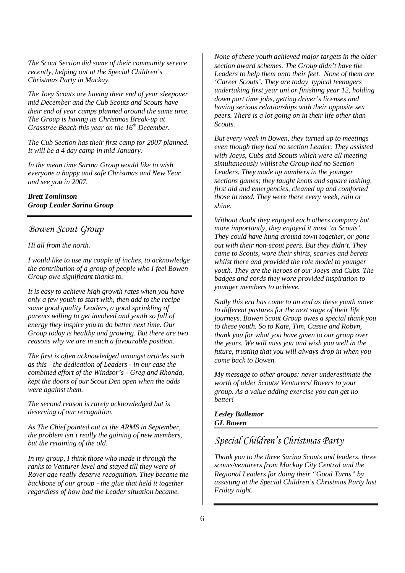*The Scout Section did some of their community service recently, helping out at the Special Children's Christmas Party in Mackay.*

*The Joey Scouts are having their end of year sleepover mid December and the Cub Scouts and Scouts have their end of year camps planned around the same time. The Group is having its Christmas Break-up at Grasstree Beach this year on the 16th December.*

*The Cub Section has their first camp for 2007 planned. It will be a 4 day camp in mid January.*

*In the mean time Sarina Group would like to wish everyone a happy and safe Christmas and New Year and see you in 2007.*

## *Brett Tomlinson Group Leader Sarina Group*

## *Bowen Scout Group*

#### *Hi all from the north.*

*I would like to use my couple of inches, to acknowledge the contribution of a group of people who I feel Bowen Group owe significant thanks to.*

*It is easy to achieve high growth rates when you have only a few youth to start with, then add to the recipe some good quality Leaders, a good sprinkling of parents willing to get involved and youth so full of energy they inspire you to do better next time. Our Group today is healthy and growing. But there are two reasons why we are in such a favourable position.*

*The first is often acknowledged amongst articles such as this - the dedication of Leaders- in our case the combined effort of the Windsor's - Greg and Rhonda, kept the doors of our Scout Den open when the odds were against them.*

*The second reason is rarely acknowledged but is deserving of our recognition.*

*As The Chief pointed out at the ARMS in September, the problem isn't really the gaining of new members, but the retaining of the old.*

*In my group, I think those who made it through the ranks to Venturer level and stayed till they were of Rover age really deserve recognition. They became the backbone of our group - the glue that held it together regardless of how bad the Leader situation became.*

*None of these youth achieved major targets in the older section award schemes. The Group didn't have the Leaders to help them onto their feet. None of them are 'Career Scouts'. They are today typical teenagers undertaking first year uni or finishing year 12, holding down part time jobs, getting driver's licenses and having serious relationships with their opposite sex peers. There is a lot going on in their life other than Scouts.*

*But every week in Bowen, they turned up to meetings even though they had no section Leader. They assisted with Joeys, Cubs and Scouts which were all meeting simultaneously whilst the Group had no Section Leaders. They made up numbers in the younger sections games; they taught knots and square lashing, first aid and emergencies, cleaned up and comforted those in need. They were there every week, rain or shine.*

*Without doubt they enjoyed each others company but more importantly, they enjoyed it most 'at Scouts'. They could have hung around town together, or gone out with their non-scout peers. But they didn't. They came to Scouts, wore their shirts, scarves and berets whilst there and provided the role model to younger youth. They are the heroes of our Joeys and Cubs. The badges and cords they wore provided inspiration to younger members to achieve.*

*Sadly this era has come to an end as these youth move to different pastures for the next stage of their life journeys. Bowen Scout Group owes a special thank you to these youth. So to Kate, Tim, Cassie and Robyn, thank you for what you have given to our group over the years. We will miss you and wish you well in the future, trusting that you will always drop in when you come back to Bowen.*

*My message to other groups: never underestimate the worth of older Scouts/ Venturers/ Rovers to your group. As a value adding exercise you can get no better!*

*Lesley Bullemor GL Bowen*

# *Special Children's Christmas Party*

*Thank you to the three Sarina Scouts and leaders, three scouts/venturers from Mackay City Central and the Regional Leaders for doing their "Good Turns" by assisting at the Special Children's Christmas Party last Friday night.*